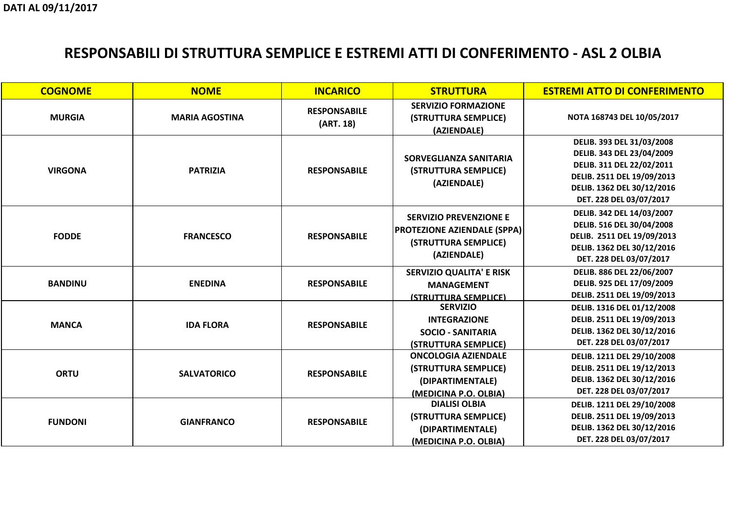**NOTA 168743 DEL 10/05/2017**

| <b>COGNOME</b> | <b>NOME</b>           | <b>INCARICO</b>                  | <b>STRUTTURA</b>                                                                                           | <b>ES</b> |
|----------------|-----------------------|----------------------------------|------------------------------------------------------------------------------------------------------------|-----------|
| <b>MURGIA</b>  | <b>MARIA AGOSTINA</b> | <b>RESPONSABILE</b><br>(ART. 18) | <b>SERVIZIO FORMAZIONE</b><br>(STRUTTURA SEMPLICE)<br>(AZIENDALE)                                          |           |
| <b>VIRGONA</b> | <b>PATRIZIA</b>       | <b>RESPONSABILE</b>              | <b>SORVEGLIANZA SANITARIA</b><br>(STRUTTURA SEMPLICE)<br>(AZIENDALE)                                       |           |
| <b>FODDE</b>   | <b>FRANCESCO</b>      | <b>RESPONSABILE</b>              | <b>SERVIZIO PREVENZIONE E</b><br><b>PROTEZIONE AZIENDALE (SPPA)</b><br>(STRUTTURA SEMPLICE)<br>(AZIENDALE) |           |
| <b>BANDINU</b> | <b>ENEDINA</b>        | <b>RESPONSABILE</b>              | <b>SERVIZIO QUALITA' E RISK</b><br><b>MANAGEMENT</b><br>(STRUTTURA SEMPLICE)                               |           |
| <b>MANCA</b>   | <b>IDA FLORA</b>      | <b>RESPONSABILE</b>              | <b>SERVIZIO</b><br><b>INTEGRAZIONE</b><br><b>SOCIO - SANITARIA</b><br>(STRUTTURA SEMPLICE)                 |           |
| <b>ORTU</b>    | <b>SALVATORICO</b>    | <b>RESPONSABILE</b>              | <b>ONCOLOGIA AZIENDALE</b><br>(STRUTTURA SEMPLICE)<br>(DIPARTIMENTALE)<br>(MEDICINA P.O. OLBIA)            |           |
| <b>FUNDONI</b> | <b>GIANFRANCO</b>     | <b>RESPONSABILE</b>              | <b>DIALISI OLBIA</b><br>(STRUTTURA SEMPLICE)<br>(DIPARTIMENTALE)<br>(MEDICINA P.O. OLBIA)                  |           |

#### **STREMI ATTO DI CONFERIMENTO**

| DELIB. 393 DEL 31/03/2008  |  |
|----------------------------|--|
| DELIB. 343 DEL 23/04/2009  |  |
| DELIB. 311 DEL 22/02/2011  |  |
| DELIB. 2511 DEL 19/09/2013 |  |
| DELIB. 1362 DEL 30/12/2016 |  |
| DET. 228 DEL 03/07/2017    |  |
| DELIB. 342 DEL 14/03/2007  |  |
| DELIB. 516 DEL 30/04/2008  |  |
| DELIB. 2511 DEL 19/09/2013 |  |
| DELIB. 1362 DEL 30/12/2016 |  |
| DET. 228 DEL 03/07/2017    |  |
| DELIB. 886 DEL 22/06/2007  |  |
| DELIB. 925 DEL 17/09/2009  |  |
| DELIB. 2511 DEL 19/09/2013 |  |
| DELIB. 1316 DEL 01/12/2008 |  |
| DELIB. 2511 DEL 19/09/2013 |  |
| DELIB. 1362 DEL 30/12/2016 |  |
| DET. 228 DEL 03/07/2017    |  |
| DELIB. 1211 DEL 29/10/2008 |  |
| DELIB. 2511 DEL 19/12/2013 |  |
| DELIB. 1362 DEL 30/12/2016 |  |
| DET. 228 DEL 03/07/2017    |  |
| DELIB. 1211 DEL 29/10/2008 |  |
| DELIB. 2511 DEL 19/09/2013 |  |
| DELIB. 1362 DEL 30/12/2016 |  |
| DET. 228 DEL 03/07/2017    |  |

# **RESPONSABILI DI STRUTTURA SEMPLICE E ESTREMI ATTI DI CONFERIMENTO - ASL 2 OLBIA**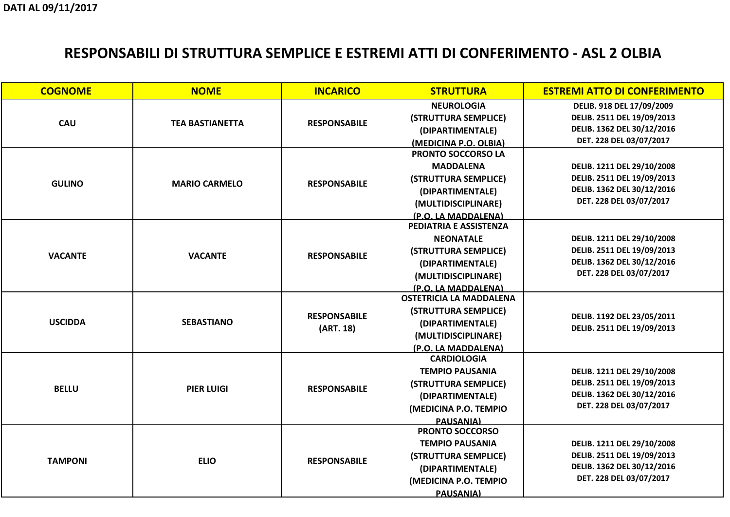**DELIB. 918 DEL 17/09/2009 DELIB. 2511 DEL 19/09/2013 DELIB. 1362 DEL 30/12/2016DET. 228 DEL 03/07/2017**

**DELIB. 1211 DEL 29/10/2008 DELIB. 2511 DEL 19/09/2013 DELIB. 1362 DEL 30/12/2016DET. 228 DEL 03/07/2017**

| <b>COGNOME</b> | <b>NOME</b>            | <b>INCARICO</b>                  | <b>STRUTTURA</b>               | <b>ES</b> |
|----------------|------------------------|----------------------------------|--------------------------------|-----------|
| <b>CAU</b>     |                        |                                  | <b>NEUROLOGIA</b>              |           |
|                | <b>TEA BASTIANETTA</b> | <b>RESPONSABILE</b>              | (STRUTTURA SEMPLICE)           |           |
|                |                        |                                  | (DIPARTIMENTALE)               |           |
|                |                        |                                  | (MEDICINA P.O. OLBIA)          |           |
|                |                        |                                  | <b>PRONTO SOCCORSO LA</b>      |           |
|                |                        |                                  | <b>MADDALENA</b>               |           |
| <b>GULINO</b>  | <b>MARIO CARMELO</b>   | <b>RESPONSABILE</b>              | (STRUTTURA SEMPLICE)           |           |
|                |                        |                                  | (DIPARTIMENTALE)               |           |
|                |                        |                                  | (MULTIDISCIPLINARE)            |           |
|                |                        |                                  | (P.O. LA MADDALENA)            |           |
|                |                        |                                  | PEDIATRIA E ASSISTENZA         |           |
|                |                        |                                  | <b>NEONATALE</b>               |           |
| <b>VACANTE</b> | <b>VACANTE</b>         | <b>RESPONSABILE</b>              | (STRUTTURA SEMPLICE)           |           |
|                |                        |                                  | (DIPARTIMENTALE)               |           |
|                |                        |                                  | (MULTIDISCIPLINARE)            |           |
|                |                        |                                  | (P.O. LA MADDALENA)            |           |
|                |                        | <b>RESPONSABILE</b><br>(ART. 18) | <b>OSTETRICIA LA MADDALENA</b> |           |
|                |                        |                                  | (STRUTTURA SEMPLICE)           |           |
| <b>USCIDDA</b> | <b>SEBASTIANO</b>      |                                  | (DIPARTIMENTALE)               |           |
|                |                        |                                  | (MULTIDISCIPLINARE)            |           |
|                |                        |                                  | (P.O. LA MADDALENA)            |           |
|                |                        |                                  | <b>CARDIOLOGIA</b>             |           |
|                |                        |                                  | <b>TEMPIO PAUSANIA</b>         |           |
| <b>BELLU</b>   | <b>PIER LUIGI</b>      | <b>RESPONSABILE</b>              | (STRUTTURA SEMPLICE)           |           |
|                |                        |                                  | (DIPARTIMENTALE)               |           |
|                |                        |                                  | (MEDICINA P.O. TEMPIO          |           |
|                |                        |                                  | <b>PAUSANIA)</b>               |           |
|                |                        |                                  | <b>PRONTO SOCCORSO</b>         |           |
|                |                        |                                  | <b>TEMPIO PAUSANIA</b>         |           |
| <b>TAMPONI</b> | <b>ELIO</b>            | <b>RESPONSABILE</b>              | (STRUTTURA SEMPLICE)           |           |
|                |                        |                                  | (DIPARTIMENTALE)               |           |
|                |                        |                                  | (MEDICINA P.O. TEMPIO          |           |
|                |                        |                                  | <b>PAUSANIA)</b>               |           |

#### **STREMI ATTO DI CONFERIMENTO**

**DELIB. 1211 DEL 29/10/2008 DELIB. 2511 DEL 19/09/2013 DELIB. 1362 DEL 30/12/2016DET. 228 DEL 03/07/2017**

**DELIB. 1192 DEL 23/05/2011 DELIB. 2511 DEL 19/09/2013**

**DELIB. 1211 DEL 29/10/2008 DELIB. 2511 DEL 19/09/2013 DELIB. 1362 DEL 30/12/2016DET. 228 DEL 03/07/2017**

**DELIB. 1211 DEL 29/10/2008 DELIB. 2511 DEL 19/09/2013 DELIB. 1362 DEL 30/12/2016DET. 228 DEL 03/07/2017**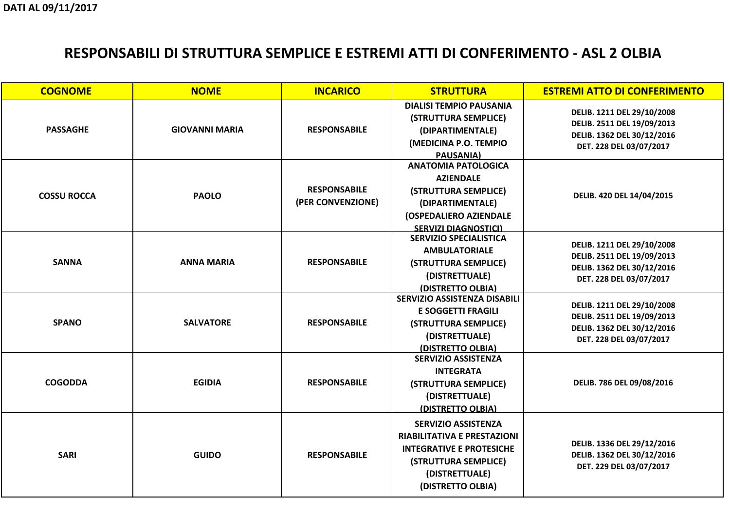**DELIB. 1211 DEL 29/10/2008 DELIB. 2511 DEL 19/09/2013 DELIB. 1362 DEL 30/12/2016DET. 228 DEL 03/07/2017**

**DELIB. 420 DEL 14/04/2015**

| <b>COGNOME</b>     | <b>NOME</b>           | <b>INCARICO</b>     | <b>STRUTTURA</b>                    | <b>ES</b> |
|--------------------|-----------------------|---------------------|-------------------------------------|-----------|
|                    |                       |                     | <b>DIALISI TEMPIO PAUSANIA</b>      |           |
|                    |                       |                     | (STRUTTURA SEMPLICE)                |           |
| <b>PASSAGHE</b>    | <b>GIOVANNI MARIA</b> | <b>RESPONSABILE</b> | (DIPARTIMENTALE)                    |           |
|                    |                       |                     | (MEDICINA P.O. TEMPIO               |           |
|                    |                       |                     | <b>PAUSANIA)</b>                    |           |
|                    |                       |                     | <b>ANATOMIA PATOLOGICA</b>          |           |
|                    |                       |                     | <b>AZIENDALE</b>                    |           |
| <b>COSSU ROCCA</b> | <b>PAOLO</b>          | <b>RESPONSABILE</b> | (STRUTTURA SEMPLICE)                |           |
|                    |                       | (PER CONVENZIONE)   | (DIPARTIMENTALE)                    |           |
|                    |                       |                     | <b>(OSPEDALIERO AZIENDALE</b>       |           |
|                    |                       |                     | <b>SERVIZI DIAGNOSTICI)</b>         |           |
|                    |                       |                     | <b>SERVIZIO SPECIALISTICA</b>       |           |
|                    | <b>ANNA MARIA</b>     | <b>RESPONSABILE</b> | <b>AMBULATORIALE</b>                |           |
| <b>SANNA</b>       |                       |                     | (STRUTTURA SEMPLICE)                |           |
|                    |                       |                     | (DISTRETTUALE)                      |           |
|                    |                       |                     | (DISTRETTO OLBIA)                   |           |
|                    |                       | <b>RESPONSABILE</b> | <b>SERVIZIO ASSISTENZA DISABILI</b> |           |
|                    |                       |                     | <b>E SOGGETTI FRAGILI</b>           |           |
| <b>SPANO</b>       | <b>SALVATORE</b>      |                     | (STRUTTURA SEMPLICE)                |           |
|                    |                       |                     | (DISTRETTUALE)                      |           |
|                    |                       |                     | <u>(DISTRETTO OLBIA)</u>            |           |
|                    |                       | <b>RESPONSABILE</b> | <b>SERVIZIO ASSISTENZA</b>          |           |
|                    |                       |                     | <b>INTEGRATA</b>                    |           |
| <b>COGODDA</b>     | <b>EGIDIA</b>         |                     | (STRUTTURA SEMPLICE)                |           |
|                    |                       |                     | (DISTRETTUALE)                      |           |
|                    |                       |                     | (DISTRETTO OLBIA)                   |           |
|                    |                       |                     | <b>SERVIZIO ASSISTENZA</b>          |           |
|                    |                       |                     | <b>RIABILITATIVA E PRESTAZIONI</b>  |           |
|                    |                       |                     | <b>INTEGRATIVE E PROTESICHE</b>     |           |
| <b>SARI</b>        | <b>GUIDO</b>          | <b>RESPONSABILE</b> | (STRUTTURA SEMPLICE)                |           |
|                    |                       |                     | (DISTRETTUALE)                      |           |
|                    |                       |                     | (DISTRETTO OLBIA)                   |           |
|                    |                       |                     |                                     |           |

#### **STREMI ATTO DI CONFERIMENTO**

**DELIB. 1211 DEL 29/10/2008 DELIB. 2511 DEL 19/09/2013 DELIB. 1362 DEL 30/12/2016DET. 228 DEL 03/07/2017**

**DELIB. 1211 DEL 29/10/2008 DELIB. 2511 DEL 19/09/2013 DELIB. 1362 DEL 30/12/2016DET. 228 DEL 03/07/2017**

**DELIB. 786 DEL 09/08/2016** 

**DELIB. 1336 DEL 29/12/2016 DELIB. 1362 DEL 30/12/2016DET. 229 DEL 03/07/2017**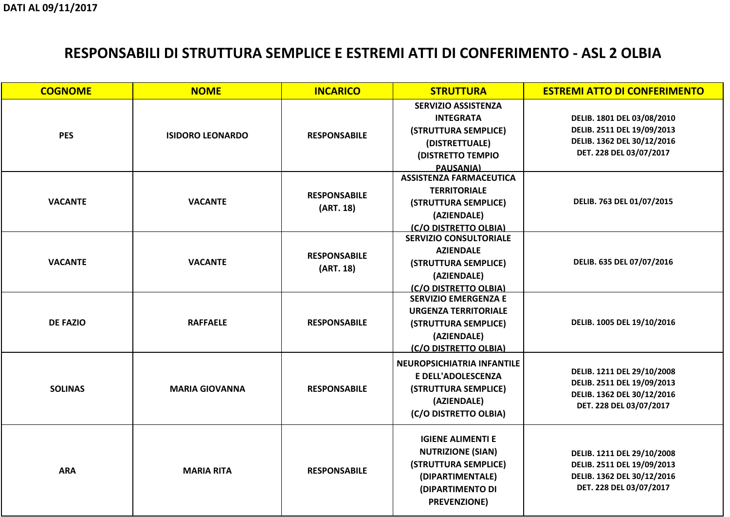**DELIB. 1801 DEL 03/08/2010 DELIB. 2511 DEL 19/09/2013 DELIB. 1362 DEL 30/12/2016DET. 228 DEL 03/07/2017**

**DELIB. 763 DEL 01/07/2015**

**DELIB. 635 DEL 07/07/2016**

| <b>COGNOME</b>  | <b>NOME</b>             | <b>INCARICO</b>                  |                                                                                                                                              | <b>ES</b> |
|-----------------|-------------------------|----------------------------------|----------------------------------------------------------------------------------------------------------------------------------------------|-----------|
| <b>PES</b>      | <b>ISIDORO LEONARDO</b> | <b>RESPONSABILE</b>              | <b>SERVIZIO ASSISTENZA</b><br><b>INTEGRATA</b><br>(STRUTTURA SEMPLICE)<br>(DISTRETTUALE)<br><b>(DISTRETTO TEMPIO</b><br><b>PAUSANIA)</b>     |           |
| <b>VACANTE</b>  | <b>VACANTE</b>          | <b>RESPONSABILE</b><br>(ART. 18) | <b>ASSISTENZA FARMACEUTICA</b><br><b>TERRITORIALE</b><br>(STRUTTURA SEMPLICE)<br>(AZIENDALE)<br>(C/O DISTRETTO OLBIA)                        |           |
| <b>VACANTE</b>  | <b>VACANTE</b>          | <b>RESPONSABILE</b><br>(ART. 18) | <b>SERVIZIO CONSULTORIALE</b><br><b>AZIENDALE</b><br>(STRUTTURA SEMPLICE)<br>(AZIENDALE)<br>(C/O DISTRETTO OLBIA)                            |           |
| <b>DE FAZIO</b> | <b>RAFFAELE</b>         | <b>RESPONSABILE</b>              | <b>SERVIZIO EMERGENZA E</b><br><b>URGENZA TERRITORIALE</b><br>(STRUTTURA SEMPLICE)<br>(AZIENDALE)<br><u>(C/O DISTRETTO OLBIA)</u>            |           |
| <b>SOLINAS</b>  | <b>MARIA GIOVANNA</b>   | <b>RESPONSABILE</b>              | NEUROPSICHIATRIA INFANTILE<br>E DELL'ADOLESCENZA<br>(STRUTTURA SEMPLICE)<br>(AZIENDALE)<br>(C/O DISTRETTO OLBIA)                             |           |
| <b>ARA</b>      | <b>MARIA RITA</b>       | <b>RESPONSABILE</b>              | <b>IGIENE ALIMENTI E</b><br><b>NUTRIZIONE (SIAN)</b><br>(STRUTTURA SEMPLICE)<br>(DIPARTIMENTALE)<br>(DIPARTIMENTO DI<br><b>PREVENZIONE</b> ) |           |

#### **STREMI ATTO DI CONFERIMENTO**

**DELIB. 1005 DEL 19/10/2016**

**DELIB. 1211 DEL 29/10/2008 DELIB. 2511 DEL 19/09/2013 DELIB. 1362 DEL 30/12/2016DET. 228 DEL 03/07/2017**

**DELIB. 1211 DEL 29/10/2008 DELIB. 2511 DEL 19/09/2013 DELIB. 1362 DEL 30/12/2016DET. 228 DEL 03/07/2017**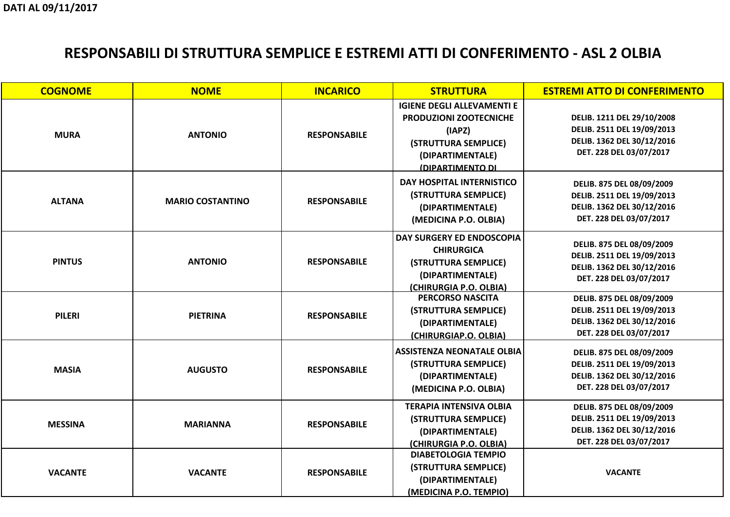**DELIB. 1211 DEL 29/10/2008 DELIB. 2511 DEL 19/09/2013 DELIB. 1362 DEL 30/12/2016DET. 228 DEL 03/07/2017**

**DELIB. 875 DEL 08/09/2009 DELIB. 2511 DEL 19/09/2013 DELIB. 1362 DEL 30/12/2016DET. 228 DEL 03/07/2017**

**DELIB. 875 DEL 08/09/2009 DELIB. 2511 DEL 19/09/2013 DELIB. 1362 DEL 30/12/2016DET. 228 DEL 03/07/2017**

| <b>COGNOME</b> | <b>NOME</b>             | <b>INCARICO</b>     | <b>STRUTTURA</b>                                                                                                                                    | <b>ES</b> |
|----------------|-------------------------|---------------------|-----------------------------------------------------------------------------------------------------------------------------------------------------|-----------|
| <b>MURA</b>    | <b>ANTONIO</b>          | <b>RESPONSABILE</b> | <b>IGIENE DEGLI ALLEVAMENTI E</b><br><b>PRODUZIONI ZOOTECNICHE</b><br>(IAPZ)<br>(STRUTTURA SEMPLICE)<br>(DIPARTIMENTALE)<br><u>(DIPARTIMENTO DI</u> |           |
| <b>ALTANA</b>  | <b>MARIO COSTANTINO</b> | <b>RESPONSABILE</b> | DAY HOSPITAL INTERNISTICO<br>(STRUTTURA SEMPLICE)<br>(DIPARTIMENTALE)<br>(MEDICINA P.O. OLBIA)                                                      |           |
| <b>PINTUS</b>  | <b>ANTONIO</b>          | <b>RESPONSABILE</b> | DAY SURGERY ED ENDOSCOPIA<br><b>CHIRURGICA</b><br>(STRUTTURA SEMPLICE)<br>(DIPARTIMENTALE)<br>(CHIRURGIA P.O. OLBIA)                                |           |
| <b>PILERI</b>  | <b>PIETRINA</b>         | <b>RESPONSABILE</b> | <b>PERCORSO NASCITA</b><br>(STRUTTURA SEMPLICE)<br>(DIPARTIMENTALE)<br>(CHIRURGIAP.O. OLBIA)                                                        |           |
| <b>MASIA</b>   | <b>AUGUSTO</b>          | <b>RESPONSABILE</b> | <b>ASSISTENZA NEONATALE OLBIA</b><br>(STRUTTURA SEMPLICE)<br>(DIPARTIMENTALE)<br>(MEDICINA P.O. OLBIA)                                              |           |
| <b>MESSINA</b> | <b>MARIANNA</b>         | <b>RESPONSABILE</b> | <b>TERAPIA INTENSIVA OLBIA</b><br>(STRUTTURA SEMPLICE)<br>(DIPARTIMENTALE)<br>(CHIRURGIA P.O. OLBIA)                                                |           |
| <b>VACANTE</b> | <b>VACANTE</b>          | <b>RESPONSABILE</b> | <b>DIABETOLOGIA TEMPIO</b><br>(STRUTTURA SEMPLICE)<br>(DIPARTIMENTALE)<br>(MEDICINA P.O. TEMPIO)                                                    |           |

#### **STREMI ATTO DI CONFERIMENTO**

**DELIB. 875 DEL 08/09/2009 DELIB. 2511 DEL 19/09/2013 DELIB. 1362 DEL 30/12/2016DET. 228 DEL 03/07/2017**

**DELIB. 875 DEL 08/09/2009 DELIB. 2511 DEL 19/09/2013 DELIB. 1362 DEL 30/12/2016DET. 228 DEL 03/07/2017**

**DELIB. 875 DEL 08/09/2009 DELIB. 2511 DEL 19/09/2013 DELIB. 1362 DEL 30/12/2016DET. 228 DEL 03/07/2017**

**VACANTE**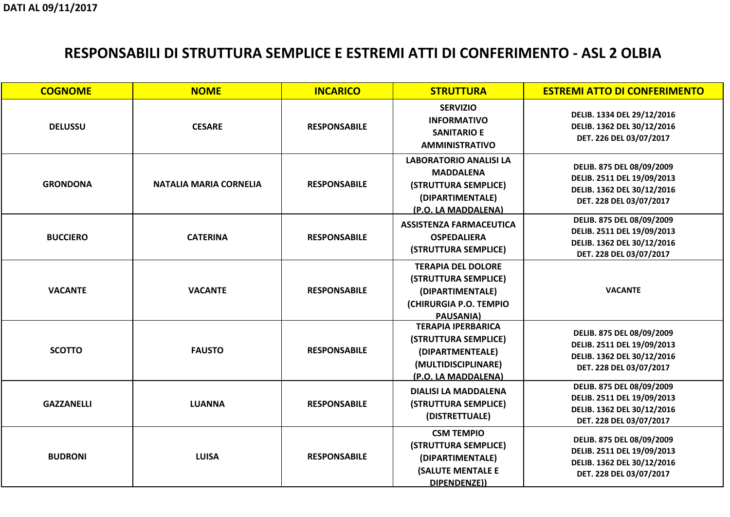**DELIB. 1334 DEL 29/12/2016 DELIB. 1362 DEL 30/12/2016DET. 226 DEL 03/07/2017**

**DELIB. 875 DEL 08/09/2009 DELIB. 2511 DEL 19/09/2013 DELIB. 1362 DEL 30/12/2016DET. 228 DEL 03/07/2017**

**DELIB. 875 DEL 08/09/2009 DELIB. 2511 DEL 19/09/2013 DELIB. 1362 DEL 30/12/2016DET. 228 DEL 03/07/2017**

| <b>COGNOME</b>    | <b>NOME</b>                   | <b>INCARICO</b>     | <b>STRUTTURA</b>                                                                                                            | <b>ES</b> |
|-------------------|-------------------------------|---------------------|-----------------------------------------------------------------------------------------------------------------------------|-----------|
| <b>DELUSSU</b>    | <b>CESARE</b>                 | <b>RESPONSABILE</b> | <b>SERVIZIO</b><br><b>INFORMATIVO</b><br><b>SANITARIO E</b><br><b>AMMINISTRATIVO</b>                                        |           |
| <b>GRONDONA</b>   | <b>NATALIA MARIA CORNELIA</b> | <b>RESPONSABILE</b> | <b>LABORATORIO ANALISI LA</b><br><b>MADDALENA</b><br>(STRUTTURA SEMPLICE)<br>(DIPARTIMENTALE)<br><u>(P.O. LA MADDALENA)</u> |           |
| <b>BUCCIERO</b>   | <b>CATERINA</b>               | <b>RESPONSABILE</b> | <b>ASSISTENZA FARMACEUTICA</b><br><b>OSPEDALIERA</b><br>(STRUTTURA SEMPLICE)                                                |           |
| <b>VACANTE</b>    | <b>VACANTE</b>                | <b>RESPONSABILE</b> | <b>TERAPIA DEL DOLORE</b><br>(STRUTTURA SEMPLICE)<br>(DIPARTIMENTALE)<br>(CHIRURGIA P.O. TEMPIO<br><b>PAUSANIA)</b>         |           |
| <b>SCOTTO</b>     | <b>FAUSTO</b>                 | <b>RESPONSABILE</b> | <b>TERAPIA IPERBARICA</b><br>(STRUTTURA SEMPLICE)<br>(DIPARTMENTEALE)<br>(MULTIDISCIPLINARE)<br>(P.O. LA MADDALENA)         |           |
| <b>GAZZANELLI</b> | <b>LUANNA</b>                 | <b>RESPONSABILE</b> | <b>DIALISI LA MADDALENA</b><br>(STRUTTURA SEMPLICE)<br>(DISTRETTUALE)                                                       |           |
| <b>BUDRONI</b>    | <b>LUISA</b>                  | <b>RESPONSABILE</b> | <b>CSM TEMPIO</b><br>(STRUTTURA SEMPLICE)<br>(DIPARTIMENTALE)<br><b>(SALUTE MENTALE E</b><br>DIPENDENZE))                   |           |

#### **STREMI ATTO DI CONFERIMENTO**

**VACANTE**

**DELIB. 875 DEL 08/09/2009 DELIB. 2511 DEL 19/09/2013 DELIB. 1362 DEL 30/12/2016DET. 228 DEL 03/07/2017**

**DELIB. 875 DEL 08/09/2009 DELIB. 2511 DEL 19/09/2013 DELIB. 1362 DEL 30/12/2016DET. 228 DEL 03/07/2017**

**DELIB. 875 DEL 08/09/2009 DELIB. 2511 DEL 19/09/2013 DELIB. 1362 DEL 30/12/2016DET. 228 DEL 03/07/2017**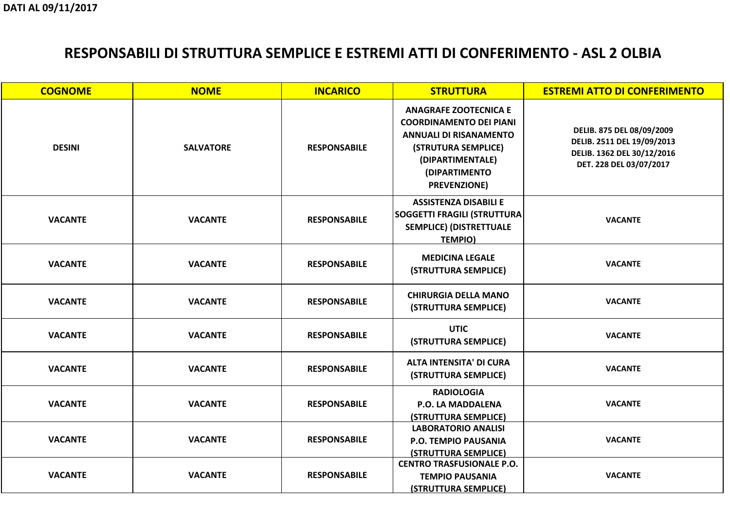**DELIB. 875 DEL 08/09/2009 DELIB. 2511 DEL 19/09/2013 DELIB. 1362 DEL 30/12/2016DET. 228 DEL 03/07/2017**

**VACANTE**

| <b>COGNOME</b> | <b>NOME</b>      | <b>INCARICO</b>     | <b>STRUTTURA</b>                                                                                                                                                                    | <b>ESTREMI ATTO DI CO</b>                                                                              |
|----------------|------------------|---------------------|-------------------------------------------------------------------------------------------------------------------------------------------------------------------------------------|--------------------------------------------------------------------------------------------------------|
| <b>DESINI</b>  | <b>SALVATORE</b> | <b>RESPONSABILE</b> | <b>ANAGRAFE ZOOTECNICA E</b><br><b>COORDINAMENTO DEI PIANI</b><br><b>ANNUALI DI RISANAMENTO</b><br>(STRUTURA SEMPLICE)<br>(DIPARTIMENTALE)<br>(DIPARTIMENTO<br><b>PREVENZIONE</b> ) | <b>DELIB. 875 DEL 08</b><br><b>DELIB. 2511 DEL 19</b><br><b>DELIB. 1362 DEL 30</b><br>DET. 228 DEL 03/ |
| <b>VACANTE</b> | <b>VACANTE</b>   | <b>RESPONSABILE</b> | <b>ASSISTENZA DISABILI E</b><br>SOGGETTI FRAGILI (STRUTTURA)<br><b>SEMPLICE) (DISTRETTUALE</b><br><b>TEMPIO)</b>                                                                    | <b>VACANTE</b>                                                                                         |
| <b>VACANTE</b> | <b>VACANTE</b>   | <b>RESPONSABILE</b> | <b>MEDICINA LEGALE</b><br>(STRUTTURA SEMPLICE)                                                                                                                                      | <b>VACANTE</b>                                                                                         |
| <b>VACANTE</b> | <b>VACANTE</b>   | <b>RESPONSABILE</b> | <b>CHIRURGIA DELLA MANO</b><br>(STRUTTURA SEMPLICE)                                                                                                                                 | <b>VACANTE</b>                                                                                         |
| <b>VACANTE</b> | <b>VACANTE</b>   | <b>RESPONSABILE</b> | <b>UTIC</b><br>(STRUTTURA SEMPLICE)                                                                                                                                                 | <b>VACANTE</b>                                                                                         |
| <b>VACANTE</b> | <b>VACANTE</b>   | <b>RESPONSABILE</b> | <b>ALTA INTENSITA' DI CURA</b><br>(STRUTTURA SEMPLICE)                                                                                                                              | <b>VACANTE</b>                                                                                         |
| <b>VACANTE</b> | <b>VACANTE</b>   | <b>RESPONSABILE</b> | <b>RADIOLOGIA</b><br><b>P.O. LA MADDALENA</b><br>(STRUTTURA SEMPLICE)                                                                                                               | <b>VACANTE</b>                                                                                         |
| <b>VACANTE</b> | <b>VACANTE</b>   | <b>RESPONSABILE</b> | <b>LABORATORIO ANALISI</b><br><b>P.O. TEMPIO PAUSANIA</b><br>(STRUTTURA SEMPLICE)                                                                                                   | <b>VACANTE</b>                                                                                         |
| <b>VACANTE</b> | <b>VACANTE</b>   | <b>RESPONSABILE</b> | <b>CENTRO TRASFUSIONALE P.O.</b><br><b>TEMPIO PAUSANIA</b><br><b>(STRUTTURA SEMPLICE)</b>                                                                                           | <b>VACANTE</b>                                                                                         |

#### **STREMI ATTO DI CONFERIMENTO**

**VACANTE**

**VACANTE**

**VACANTE**

**VACANTE**

**VACANTE**